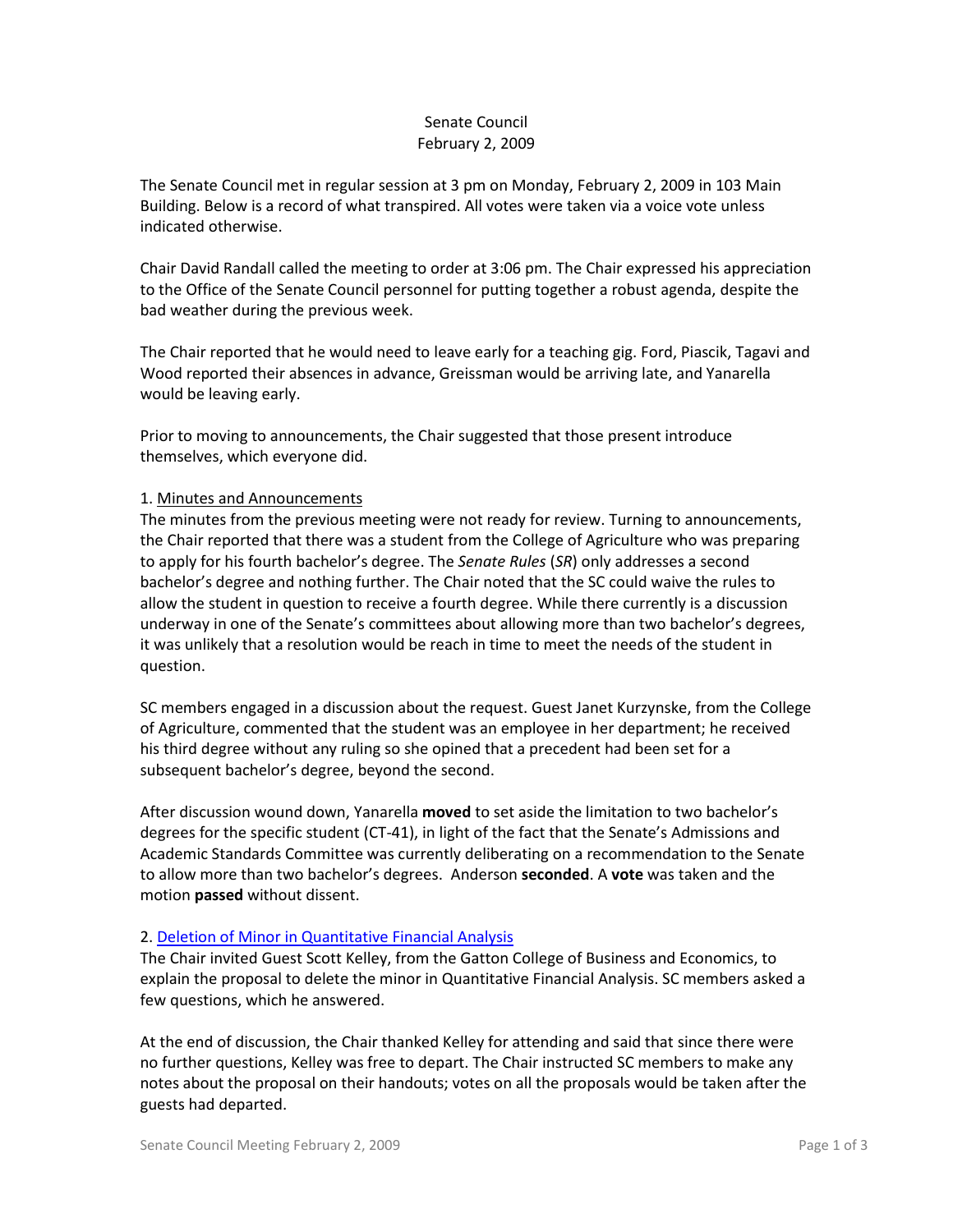# Senate Council February 2, 2009

The Senate Council met in regular session at 3 pm on Monday, February 2, 2009 in 103 Main Building. Below is a record of what transpired. All votes were taken via a voice vote unless indicated otherwise.

Chair David Randall called the meeting to order at 3:06 pm. The Chair expressed his appreciation to the Office of the Senate Council personnel for putting together a robust agenda, despite the bad weather during the previous week.

The Chair reported that he would need to leave early for a teaching gig. Ford, Piascik, Tagavi and Wood reported their absences in advance, Greissman would be arriving late, and Yanarella would be leaving early.

Prior to moving to announcements, the Chair suggested that those present introduce themselves, which everyone did.

## 1. Minutes and Announcements

The minutes from the previous meeting were not ready for review. Turning to announcements, the Chair reported that there was a student from the College of Agriculture who was preparing to apply for his fourth bachelor's degree. The *Senate Rules* (*SR*) only addresses a second bachelor's degree and nothing further. The Chair noted that the SC could waive the rules to allow the student in question to receive a fourth degree. While there currently is a discussion underway in one of the Senate's committees about allowing more than two bachelor's degrees, it was unlikely that a resolution would be reach in time to meet the needs of the student in question.

SC members engaged in a discussion about the request. Guest Janet Kurzynske, from the College of Agriculture, commented that the student was an employee in her department; he received his third degree without any ruling so she opined that a precedent had been set for a subsequent bachelor's degree, beyond the second.

After discussion wound down, Yanarella **moved** to set aside the limitation to two bachelor's degrees for the specific student (CT-41), in light of the fact that the Senate's Admissions and Academic Standards Committee was currently deliberating on a recommendation to the Senate to allow more than two bachelor's degrees. Anderson **seconded**. A **vote** was taken and the motion **passed** without dissent.

# 2. [Deletion of Minor in Quantitative Financial Analysis](http://www.uky.edu/USC/New/files/Minor%20in%20Quant%20Fin%20Analysis%20-%20Prog%20Delete_Complete1.pdf)

The Chair invited Guest Scott Kelley, from the Gatton College of Business and Economics, to explain the proposal to delete the minor in Quantitative Financial Analysis. SC members asked a few questions, which he answered.

At the end of discussion, the Chair thanked Kelley for attending and said that since there were no further questions, Kelley was free to depart. The Chair instructed SC members to make any notes about the proposal on their handouts; votes on all the proposals would be taken after the guests had departed.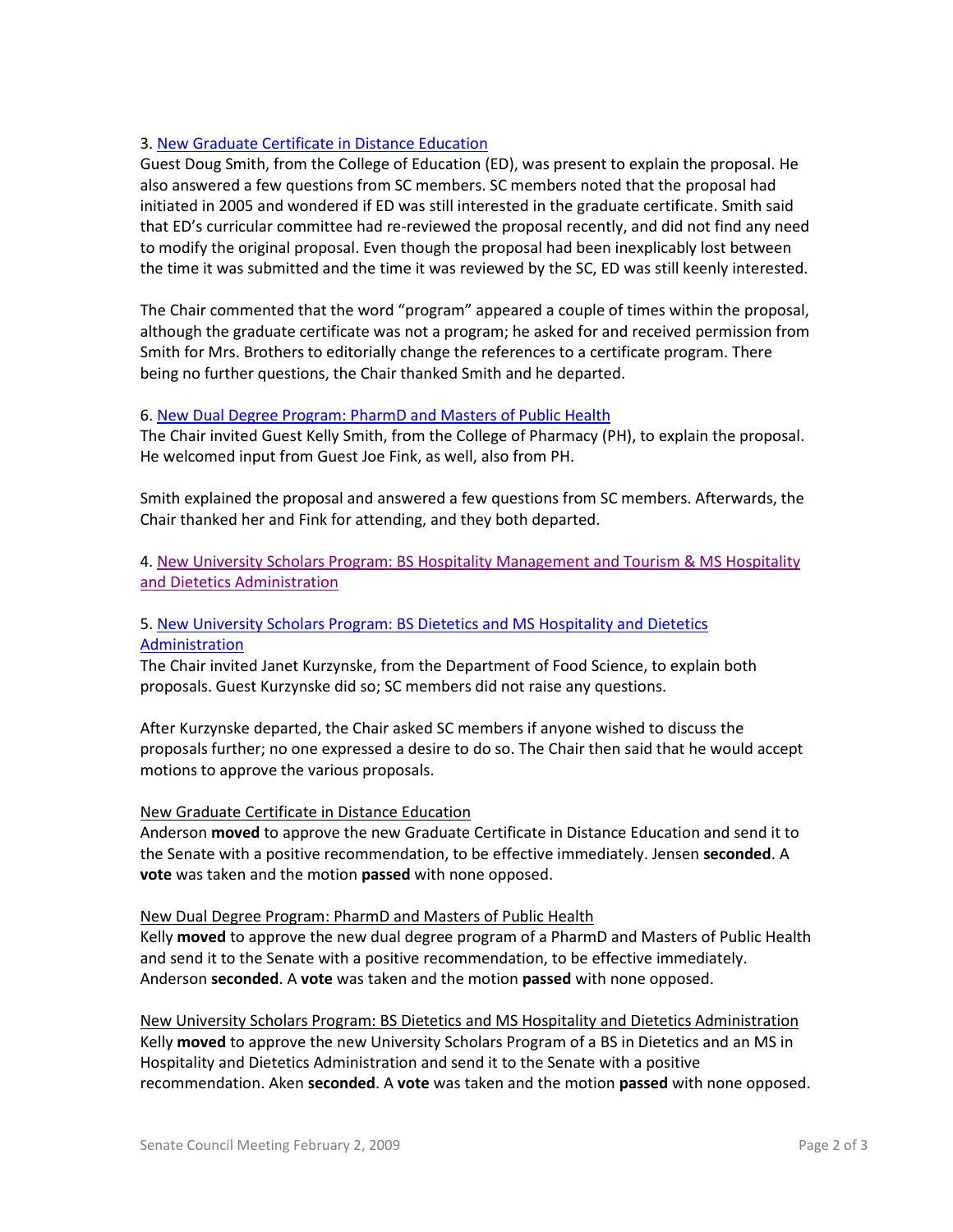# 3. [New Graduate Certificate](http://www.uky.edu/USC/New/files/Distance%20Ed%20Grad%20Cert_Complete1.pdf) in Distance Education

Guest Doug Smith, from the College of Education (ED), was present to explain the proposal. He also answered a few questions from SC members. SC members noted that the proposal had initiated in 2005 and wondered if ED was still interested in the graduate certificate. Smith said that ED's curricular committee had re-reviewed the proposal recently, and did not find any need to modify the original proposal. Even though the proposal had been inexplicably lost between the time it was submitted and the time it was reviewed by the SC, ED was still keenly interested.

The Chair commented that the word "program" appeared a couple of times within the proposal, although the graduate certificate was not a program; he asked for and received permission from Smith for Mrs. Brothers to editorially change the references to a certificate program. There being no further questions, the Chair thanked Smith and he departed.

## 6. New Dual Degree Program: [PharmD and Masters of Public Health](http://www.uky.edu/USC/New/files/PharmD%20MPH%20Dual%20Degree%20Program%20-%20New%20Program_Complete1.pdf)

The Chair invited Guest Kelly Smith, from the College of Pharmacy (PH), to explain the proposal. He welcomed input from Guest Joe Fink, as well, also from PH.

Smith explained the proposal and answered a few questions from SC members. Afterwards, the Chair thanked her and Fink for attending, and they both departed.

4. [New University Scholars Program: BS Hospitality Management and Tourism & MS Hospitality](http://www.uky.edu/USC/New/files/BS%20Hosp%20Mgmt%20&%20Tourism%20MS%20Hospitality%20&%20Diet%20Admin%20New%20UScholarsP_Complete.pdf)  [and Dietetics Administration](http://www.uky.edu/USC/New/files/BS%20Hosp%20Mgmt%20&%20Tourism%20MS%20Hospitality%20&%20Diet%20Admin%20New%20UScholarsP_Complete.pdf)

# 5. New University Scholars Program: BS Dietetics and MS Hospitality and Dietetics [Administration](http://www.uky.edu/USC/New/files/BS%20Dietetics%20MS%20Hospitality%20&%20Diet%20Admin%20-%20New%20UScholarsP_Complete.pdf)

The Chair invited Janet Kurzynske, from the Department of Food Science, to explain both proposals. Guest Kurzynske did so; SC members did not raise any questions.

After Kurzynske departed, the Chair asked SC members if anyone wished to discuss the proposals further; no one expressed a desire to do so. The Chair then said that he would accept motions to approve the various proposals.

### New Graduate Certificate in Distance Education

Anderson **moved** to approve the new Graduate Certificate in Distance Education and send it to the Senate with a positive recommendation, to be effective immediately. Jensen **seconded**. A **vote** was taken and the motion **passed** with none opposed.

### New Dual Degree Program: PharmD and Masters of Public Health

Kelly **moved** to approve the new dual degree program of a PharmD and Masters of Public Health and send it to the Senate with a positive recommendation, to be effective immediately. Anderson **seconded**. A **vote** was taken and the motion **passed** with none opposed.

New University Scholars Program: BS Dietetics and MS Hospitality and Dietetics Administration Kelly **moved** to approve the new University Scholars Program of a BS in Dietetics and an MS in Hospitality and Dietetics Administration and send it to the Senate with a positive recommendation. Aken **seconded**. A **vote** was taken and the motion **passed** with none opposed.